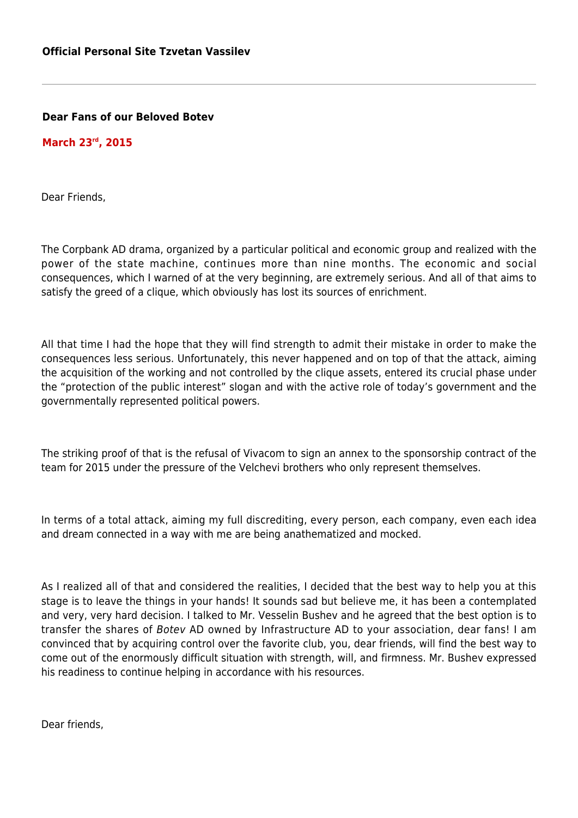## **Dear Fans of our Beloved Botev**

## **March 23rd, 2015**

Dear Friends,

The Corpbank AD drama, organized by a particular political and economic group and realized with the power of the state machine, continues more than nine months. The economic and social consequences, which I warned of at the very beginning, are extremely serious. And all of that aims to satisfy the greed of a clique, which obviously has lost its sources of enrichment.

All that time I had the hope that they will find strength to admit their mistake in order to make the consequences less serious. Unfortunately, this never happened and on top of that the attack, aiming the acquisition of the working and not controlled by the clique assets, entered its crucial phase under the "protection of the public interest" slogan and with the active role of today's government and the governmentally represented political powers.

The striking proof of that is the refusal of Vivacom to sign an annex to the sponsorship contract of the team for 2015 under the pressure of the Velchevi brothers who only represent themselves.

In terms of a total attack, aiming my full discrediting, every person, each company, even each idea and dream connected in a way with me are being anathematized and mocked.

As I realized all of that and considered the realities, I decided that the best way to help you at this stage is to leave the things in your hands! It sounds sad but believe me, it has been a contemplated and very, very hard decision. I talked to Mr. Vesselin Bushev and he agreed that the best option is to transfer the shares of Botev AD owned by Infrastructure AD to your association, dear fans! I am convinced that by acquiring control over the favorite club, you, dear friends, will find the best way to come out of the enormously difficult situation with strength, will, and firmness. Mr. Bushev expressed his readiness to continue helping in accordance with his resources.

Dear friends,